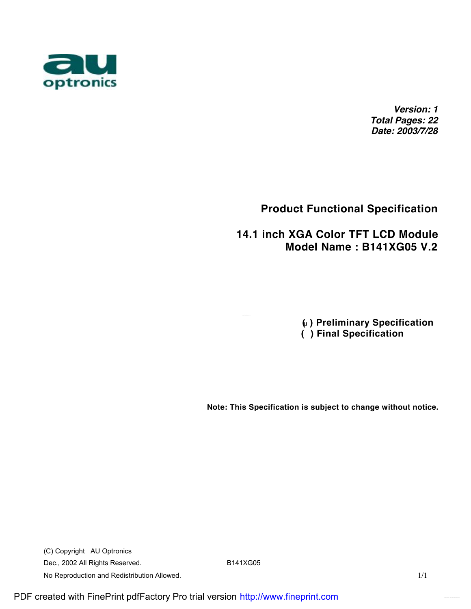

*Version: 1 Total Pages: 22 Date: 2003/7/28*

## **Product Functional Specification**

### **14.1 inch XGA Color TFT LCD Module Model Name : B141XG05 V.2**

 **(u ) Preliminary Specification ( ) Final Specification**

**Note: This Specification is subject to change without notice.** 

(C) Copyright AU Optronics Dec., 2002 All Rights Reserved. B141XG05 No Reproduction and Redistribution Allowed. 1/1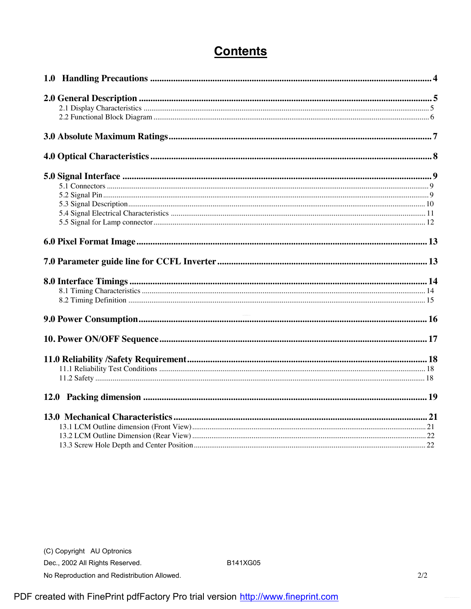# **Contents**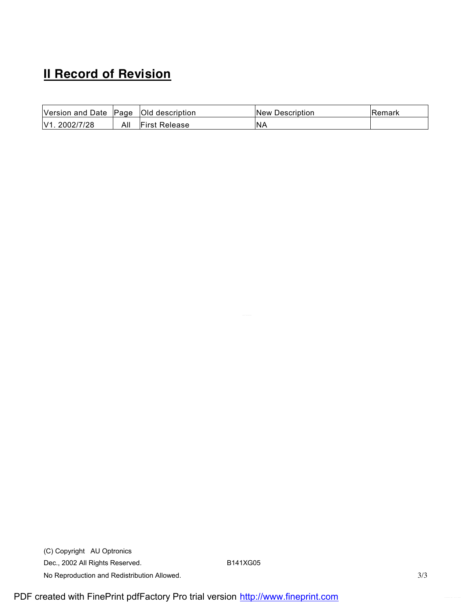# **II Record of Revision**

| Version and Date Page |     | <b>Old description</b> | New Description | <b>IRemark</b> |
|-----------------------|-----|------------------------|-----------------|----------------|
| V1. 2002/7/28         | All | <b>First Release</b>   | <b>NA</b>       |                |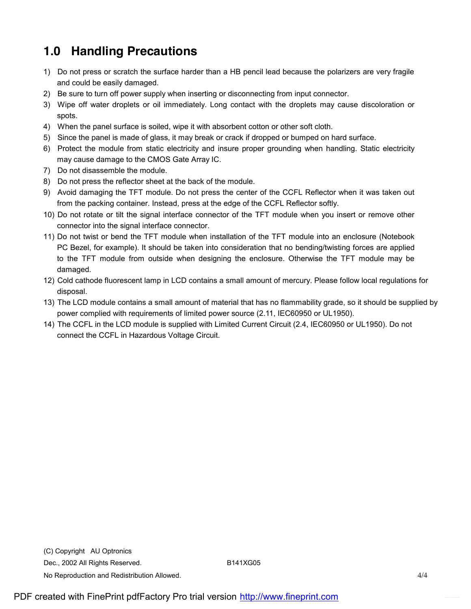# **1.0 Handling Precautions**

- 1) Do not press or scratch the surface harder than a HB pencil lead because the polarizers are very fragile and could be easily damaged.
- 2) Be sure to turn off power supply when inserting or disconnecting from input connector.
- 3) Wipe off water droplets or oil immediately. Long contact with the droplets may cause discoloration or spots.
- 4) When the panel surface is soiled, wipe it with absorbent cotton or other soft cloth.
- 5) Since the panel is made of glass, it may break or crack if dropped or bumped on hard surface.
- 6) Protect the module from static electricity and insure proper grounding when handling. Static electricity may cause damage to the CMOS Gate Array IC.
- 7) Do not disassemble the module.
- 8) Do not press the reflector sheet at the back of the module.
- 9) Avoid damaging the TFT module. Do not press the center of the CCFL Reflector when it was taken out from the packing container. Instead, press at the edge of the CCFL Reflector softly.
- 10) Do not rotate or tilt the signal interface connector of the TFT module when you insert or remove other connector into the signal interface connector.
- 11) Do not twist or bend the TFT module when installation of the TFT module into an enclosure (Notebook PC Bezel, for example). It should be taken into consideration that no bending/twisting forces are applied to the TFT module from outside when designing the enclosure. Otherwise the TFT module may be damaged.
- 12) Cold cathode fluorescent lamp in LCD contains a small amount of mercury. Please follow local regulations for disposal.
- 13) The LCD module contains a small amount of material that has no flammability grade, so it should be supplied by power complied with requirements of limited power source (2.11, IEC60950 or UL1950).
- 14) The CCFL in the LCD module is supplied with Limited Current Circuit (2.4, IEC60950 or UL1950). Do not connect the CCFL in Hazardous Voltage Circuit.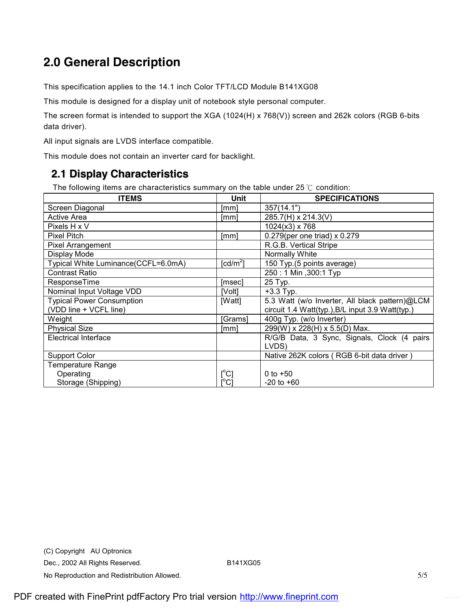# **2.0 General Description**

This specification applies to the 14.1 inch Color TFT/LCD Module B141XG08

This module is designed for a display unit of notebook style personal computer.

The screen format is intended to support the XGA (1024(H) x 768(V)) screen and 262k colors (RGB 6-bits data driver).

All input signals are LVDS interface compatible.

This module does not contain an inverter card for backlight.

### **2.1 Display Characteristics**

The following items are characteristics summary on the table under 25 ℃ condition:

| <b>ITEMS</b>                        | Unit                         | <b>SPECIFICATIONS</b>                            |
|-------------------------------------|------------------------------|--------------------------------------------------|
| Screen Diagonal                     | [mm]                         | 357(14.1")                                       |
| <b>Active Area</b>                  | $\lceil mm \rceil$           | 285.7(H) x 214.3(V)                              |
| Pixels H x V                        |                              | $1024(x3)$ x 768                                 |
| <b>Pixel Pitch</b>                  | [mm]                         | 0.279(per one triad) x 0.279                     |
| <b>Pixel Arrangement</b>            |                              | R.G.B. Vertical Stripe                           |
| Display Mode                        |                              | Normally White                                   |
| Typical White Luminance(CCFL=6.0mA) | [ $cd/m2$ ]                  | 150 Typ.(5 points average)                       |
| <b>Contrast Ratio</b>               |                              | 250: 1 Min , 300: 1 Typ                          |
| ResponseTime                        | [msec]                       | 25 Typ.                                          |
| Nominal Input Voltage VDD           | [Volt]                       | $+3.3$ Typ.                                      |
| <b>Typical Power Consumption</b>    | [Watt]                       | 5.3 Watt (w/o Inverter, All black pattern)@LCM   |
| (VDD line + VCFL line)              |                              | circuit 1.4 Watt(typ.), B/L input 3.9 Watt(typ.) |
| Weight                              | Grams                        | 400g Typ. (w/o Inverter)                         |
| <b>Physical Size</b>                | [mm]                         | 299(W) x 228(H) x 5.5(D) Max.                    |
| <b>Electrical Interface</b>         |                              | R/G/B Data, 3 Sync, Signals, Clock (4 pairs      |
|                                     |                              | LVDS)                                            |
| <b>Support Color</b>                |                              | Native 262K colors (RGB 6-bit data driver)       |
| <b>Temperature Range</b>            |                              |                                                  |
| Operating                           | $[\mathrm{^{\circ}C}]$       | 0 to $+50$                                       |
| Storage (Shipping)                  | $\mathop{\rm l{^{\circ}Cl}}$ | $-20$ to $+60$                                   |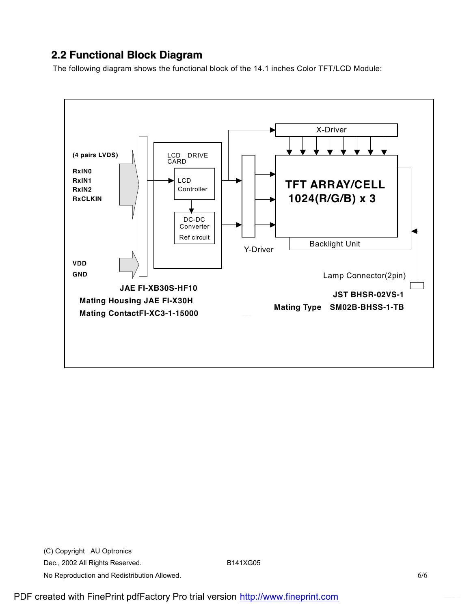### **2.2 Functional Block Diagram**

The following diagram shows the functional block of the 14.1 inches Color TFT/LCD Module:

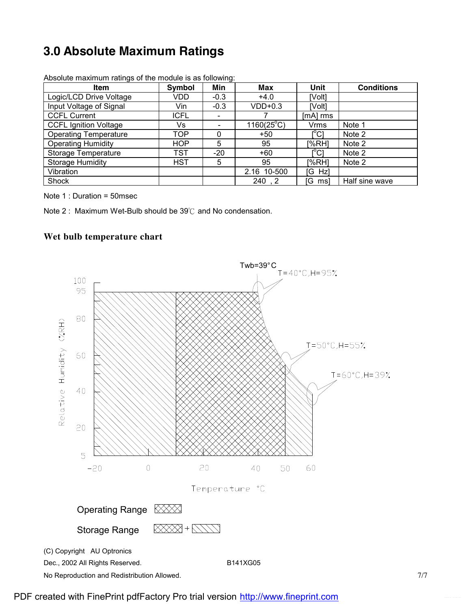# **3.0 Absolute Maximum Ratings**

| <b>Item</b>                  | <b>Symbol</b> | Min                          | <b>Max</b>          | Unit                                    | <b>Conditions</b> |
|------------------------------|---------------|------------------------------|---------------------|-----------------------------------------|-------------------|
| Logic/LCD Drive Voltage      | VDD           | $-0.3$                       | $+4.0$              | [Volt]                                  |                   |
| Input Voltage of Signal      | Vin           | $-0.3$                       | $VDD+0.3$           | [Volt]                                  |                   |
| <b>CCFL Current</b>          | <b>ICFL</b>   | $\qquad \qquad \blacksquare$ |                     | [mA] rms                                |                   |
| <b>CCFL Ignition Voltage</b> | Vs            | $\qquad \qquad \blacksquare$ | $1160(25^{\circ}C)$ | <b>Vrms</b>                             | Note 1            |
| <b>Operating Temperature</b> | TOP           | 0                            | $+50$               | $\mathsf{I}^\circ\mathsf{C} \mathsf{I}$ | Note 2            |
| <b>Operating Humidity</b>    | HOP           | 5                            | 95                  | [%RH]                                   | Note 2            |
| <b>Storage Temperature</b>   | TST           | $-20$                        | $+60$               | [°C]                                    | Note 2            |
| <b>Storage Humidity</b>      | <b>HST</b>    | 5                            | 95                  | [%RH]                                   | Note 2            |
| Vibration                    |               |                              | 2.16 10-500         | [G Hz]                                  |                   |
| Shock                        |               |                              | 240, 2              | [G ms]                                  | Half sine wave    |

Absolute maximum ratings of the module is as following:

Note 1 : Duration = 50msec

Note 2 : Maximum Wet-Bulb should be 39℃ and No condensation.

#### **Wet bulb temperature chart**

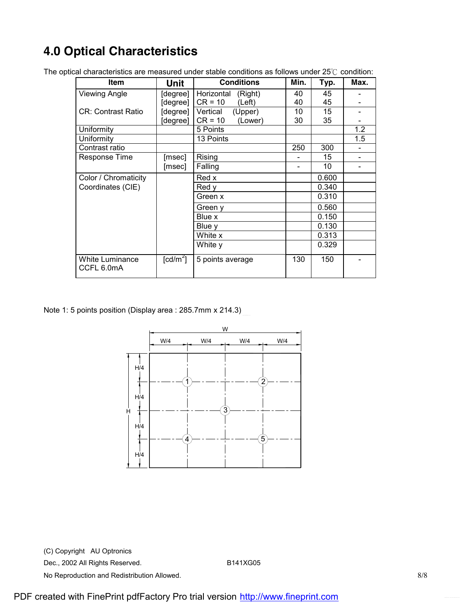# **4.0 Optical Characteristics**

| Item                                 | Unit             | <b>Conditions</b>     | Min. | Typ.  | Max.                     |
|--------------------------------------|------------------|-----------------------|------|-------|--------------------------|
| <b>Viewing Angle</b>                 | [degree]         | Horizontal<br>(Right) | 40   | 45    |                          |
|                                      | [degree]         | $CR = 10$<br>(Left)   | 40   | 45    |                          |
| <b>CR: Contrast Ratio</b>            | [degree]         | Vertical<br>(Upper)   | 10   | 15    |                          |
|                                      | [degree]         | $CR = 10$<br>(Lower)  | 30   | 35    |                          |
| Uniformity                           |                  | 5 Points              |      |       | 1.2                      |
| Uniformity                           |                  | 13 Points             |      |       | 1.5                      |
| Contrast ratio                       |                  |                       | 250  | 300   |                          |
| Response Time                        | [msec]           | Rising                |      | 15    | $\overline{\phantom{0}}$ |
|                                      | [msec]           | Falling               |      | 10    |                          |
| Color / Chromaticity                 |                  | Red x                 |      | 0.600 |                          |
| Coordinates (CIE)                    |                  | Red v                 |      | 0.340 |                          |
|                                      |                  | Green x               |      | 0.310 |                          |
|                                      |                  | Green y               |      | 0.560 |                          |
|                                      |                  | Blue x                |      | 0.150 |                          |
|                                      |                  | Blue y                |      | 0.130 |                          |
|                                      |                  | White x               |      | 0.313 |                          |
|                                      |                  | White y               |      | 0.329 |                          |
| <b>White Luminance</b><br>CCFL 6.0mA | $\text{[cd/m}^2$ | 5 points average      | 130  | 150   |                          |

The optical characteristics are measured under stable conditions as follows under 25℃ condition:

Note 1: 5 points position (Display area : 285.7mm x 214.3)



(C) Copyright AU Optronics Dec., 2002 All Rights Reserved. B141XG05 No Reproduction and Redistribution Allowed. 8/8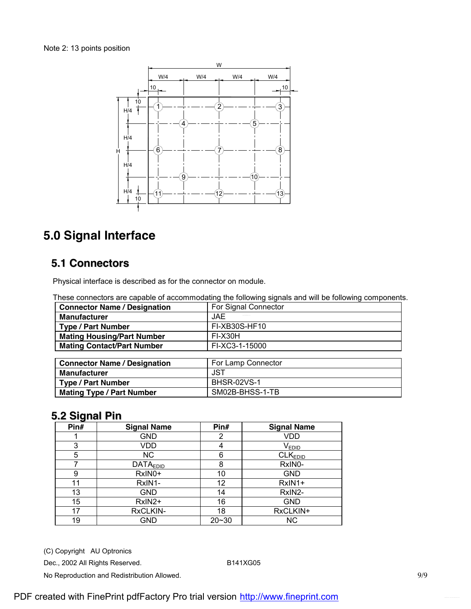

# **5.0 Signal Interface**

### **5.1 Connectors**

Physical interface is described as for the connector on module.

|                                     | <u>aa aariiraarara aha aabaarra ar aaaariiriraaamid ma ranamidd adinama ama min aa ranamidd aariibarram</u> |
|-------------------------------------|-------------------------------------------------------------------------------------------------------------|
| <b>Connector Name / Designation</b> | For Signal Connector                                                                                        |
| <b>Manufacturer</b>                 | <b>JAE</b>                                                                                                  |
| <b>Type / Part Number</b>           | FI-XB30S-HF10                                                                                               |
| <b>Mating Housing/Part Number</b>   | FI-X30H                                                                                                     |
| <b>Mating Contact/Part Number</b>   | FI-XC3-1-15000                                                                                              |
|                                     |                                                                                                             |
| <b>Connector Name / Designation</b> | For Lamp Connector                                                                                          |
| <b>Manufacturer</b>                 | <b>JST</b>                                                                                                  |
| <b>Type / Part Number</b>           | <b>BHSR-02VS-1</b>                                                                                          |
| <b>Mating Type / Part Number</b>    | SM02B-BHSS-1-TB                                                                                             |

## **5.2 Signal Pin**

| Pin# | <b>Signal Name</b> | Pin#      | <b>Signal Name</b>  |
|------|--------------------|-----------|---------------------|
|      | GND                | 2         | VDD                 |
| 3    | VDD                | 4         | <b>VEDID</b>        |
| 5    | <b>NC</b>          | 6         | CLK <sub>EDID</sub> |
|      | <b>DATAEDID</b>    | 8         | RxIN0-              |
| 9    | RxIN0+             | 10        | <b>GND</b>          |
| 11   | RxIN1-             | 12        | RxIN1+              |
| 13   | GND                | 14        | RxIN2-              |
| 15   | RxIN2+             | 16        | <b>GND</b>          |
| 17   | RxCLKIN-           | 18        | RxCLKIN+            |
| 19   | <b>GND</b>         | $20 - 30$ | <b>NC</b>           |

(C) Copyright AU Optronics

```
Dec., 2002 All Rights Reserved. B141XG05
```
No Reproduction and Redistribution Allowed. **9/9** and  $\frac{9}{9}$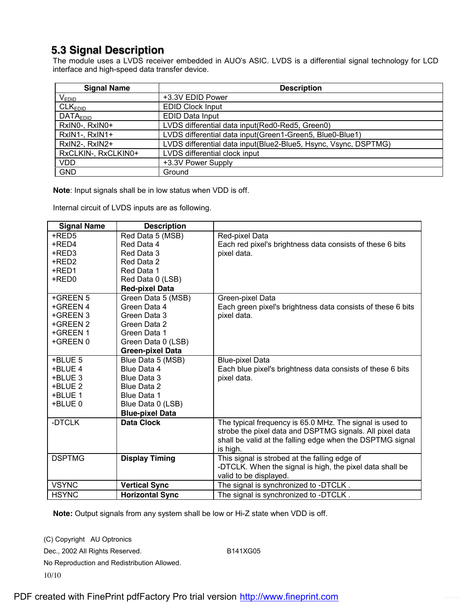### **5.3 Signal Description**

The module uses a LVDS receiver embedded in AUO's ASIC. LVDS is a differential signal technology for LCD interface and high-speed data transfer device.

| <b>Signal Name</b>         | <b>Description</b>                                              |
|----------------------------|-----------------------------------------------------------------|
| <b>VEDID</b>               | +3.3V EDID Power                                                |
| CLK <sub>EDID</sub>        | <b>EDID Clock Input</b>                                         |
| <b>DATA<sub>EDID</sub></b> | <b>EDID Data Input</b>                                          |
| RxIN0-, RxIN0+             | LVDS differential data input(Red0-Red5, Green0)                 |
| RxIN1-, RxIN1+             | LVDS differential data input(Green1-Green5, Blue0-Blue1)        |
| RxIN2-, RxIN2+             | LVDS differential data input(Blue2-Blue5, Hsync, Vsync, DSPTMG) |
| RxCLKIN-, RxCLKIN0+        | LVDS differential clock input                                   |
| <b>VDD</b>                 | +3.3V Power Supply                                              |
| <b>GND</b>                 | Ground                                                          |

**Note**: Input signals shall be in low status when VDD is off.

Internal circuit of LVDS inputs are as following.

| <b>Signal Name</b> | <b>Description</b>      |                                                             |
|--------------------|-------------------------|-------------------------------------------------------------|
| +RED5              | Red Data 5 (MSB)        | Red-pixel Data                                              |
| +RED4              | Red Data 4              | Each red pixel's brightness data consists of these 6 bits   |
| +RED3              | Red Data 3              | pixel data.                                                 |
| +RED2              | Red Data 2              |                                                             |
| +RED1              | Red Data 1              |                                                             |
| +RED0              | Red Data 0 (LSB)        |                                                             |
|                    | <b>Red-pixel Data</b>   |                                                             |
| +GREEN 5           | Green Data 5 (MSB)      | Green-pixel Data                                            |
| +GREEN 4           | Green Data 4            | Each green pixel's brightness data consists of these 6 bits |
| +GREEN 3           | Green Data 3            | pixel data.                                                 |
| +GREEN 2           | Green Data 2            |                                                             |
| +GREEN 1           | Green Data 1            |                                                             |
| +GREEN 0           | Green Data 0 (LSB)      |                                                             |
|                    | <b>Green-pixel Data</b> |                                                             |
| +BLUE 5            | Blue Data 5 (MSB)       | <b>Blue-pixel Data</b>                                      |
| +BLUE 4            | Blue Data 4             | Each blue pixel's brightness data consists of these 6 bits  |
| +BLUE 3            | Blue Data 3             | pixel data.                                                 |
| +BLUE 2            | <b>Blue Data 2</b>      |                                                             |
| +BLUE 1            | Blue Data 1             |                                                             |
| +BLUE 0            | Blue Data 0 (LSB)       |                                                             |
|                    | <b>Blue-pixel Data</b>  |                                                             |
| -DTCLK             | <b>Data Clock</b>       | The typical frequency is 65.0 MHz. The signal is used to    |
|                    |                         | strobe the pixel data and DSPTMG signals. All pixel data    |
|                    |                         | shall be valid at the falling edge when the DSPTMG signal   |
|                    |                         | is high.                                                    |
| <b>DSPTMG</b>      | <b>Display Timing</b>   | This signal is strobed at the falling edge of               |
|                    |                         | -DTCLK. When the signal is high, the pixel data shall be    |
|                    |                         | valid to be displayed.                                      |
| <b>VSYNC</b>       | <b>Vertical Sync</b>    | The signal is synchronized to -DTCLK.                       |
| <b>HSYNC</b>       | <b>Horizontal Sync</b>  | The signal is synchronized to -DTCLK.                       |

**Note:** Output signals from any system shall be low or Hi-Z state when VDD is off.

(C) Copyright AU Optronics Dec., 2002 All Rights Reserved. B141XG05 No Reproduction and Redistribution Allowed. 10/10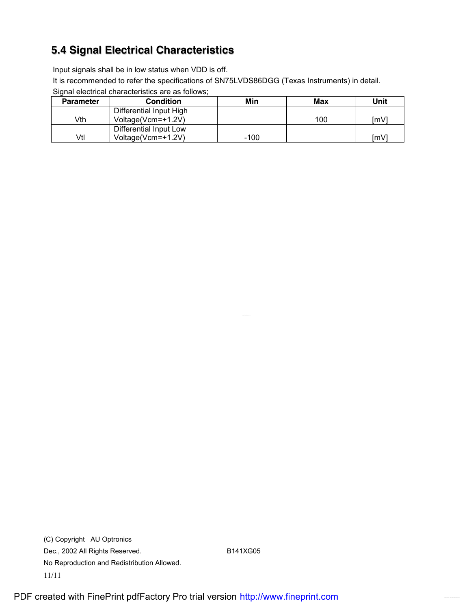## **5.4 Signal Electrical Characteristics**

Input signals shall be in low status when VDD is off.

It is recommended to refer the specifications of SN75LVDS86DGG (Texas Instruments) in detail.

Signal electrical characteristics are as follows;

| <b>Parameter</b> | <b>Condition</b>        | Min  | Max | Unit |
|------------------|-------------------------|------|-----|------|
|                  | Differential Input High |      |     |      |
| Vth              | Voltage(Vcm=+1.2V)      |      | 100 | Im∨  |
|                  | Differential Input Low  |      |     |      |
| Vtl              | Voltage(Vcm=+1.2V)      | -100 |     | Im∨  |

(C) Copyright AU Optronics Dec., 2002 All Rights Reserved. B141XG05 No Reproduction and Redistribution Allowed. 11/11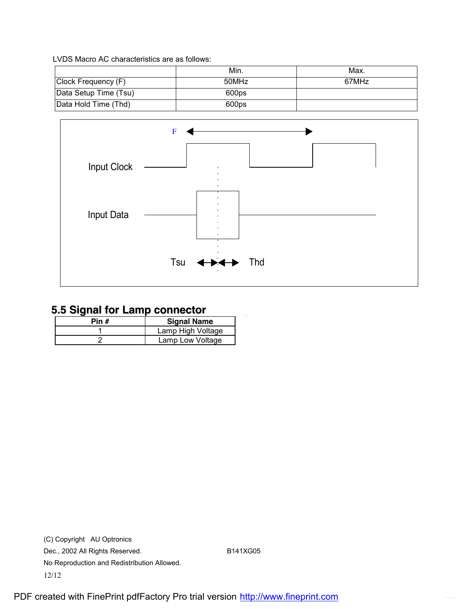LVDS Macro AC characteristics are as follows:

|                       | Min.  | Max.  |
|-----------------------|-------|-------|
| Clock Frequency (F)   | 50MHz | 67MHz |
| Data Setup Time (Tsu) | 600ps |       |
| Data Hold Time (Thd)  | 600ps |       |



## **5.5 Signal for Lamp connector**

| Pin # | <b>Signal Name</b> |  |  |  |  |  |  |
|-------|--------------------|--|--|--|--|--|--|
|       | Lamp High Voltage  |  |  |  |  |  |  |
|       | Lamp Low Voltage   |  |  |  |  |  |  |

(C) Copyright AU Optronics Dec., 2002 All Rights Reserved. B141XG05 No Reproduction and Redistribution Allowed. 12/12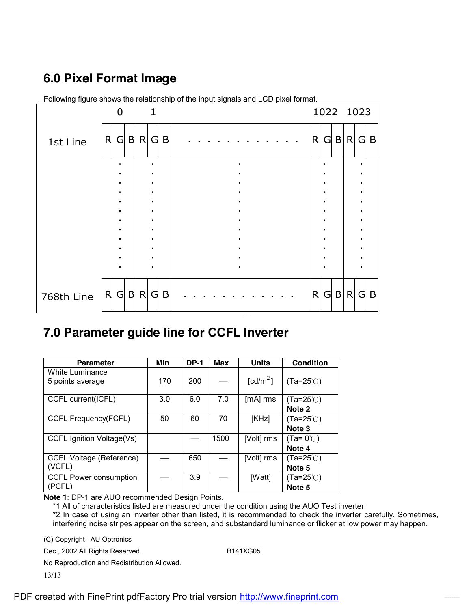# **6.0 Pixel Format Image**

|            |   | 0       |     | $\mathbf{1}$   |     |  |  |  |              |                |   | 1022 1023 |     |              |
|------------|---|---------|-----|----------------|-----|--|--|--|--------------|----------------|---|-----------|-----|--------------|
| 1st Line   | R | G       | B R | $\overline{G}$ | B   |  |  |  | $\mathsf{R}$ | G              | B | R         | G   | $\mathsf{B}$ |
|            |   |         |     |                |     |  |  |  |              | ٠              |   |           |     |              |
|            |   |         |     |                |     |  |  |  |              | ٠<br>٠         |   |           |     |              |
|            |   |         |     |                |     |  |  |  |              | $\bullet$<br>٠ |   |           |     |              |
|            |   |         |     | ٠              |     |  |  |  |              | $\bullet$      |   |           |     |              |
|            |   |         |     |                |     |  |  |  |              |                |   |           |     |              |
| 768th Line |   | R G B R |     |                | G B |  |  |  | R            |                |   | $G$ B $R$ | G B |              |

Following figure shows the relationship of the input signals and LCD pixel format.

## **7.0 Parameter guide line for CCFL Inverter**

| <b>Parameter</b>                | Min | <b>DP-1</b> | Max  | <b>Units</b>           | <b>Condition</b>    |
|---------------------------------|-----|-------------|------|------------------------|---------------------|
| White Luminance                 |     |             |      |                        |                     |
| 5 points average                | 170 | 200         |      | $\lceil cd/m^2 \rceil$ | $(Ta=25^{\circ}C)$  |
| CCFL current(ICFL)              | 3.0 | 6.0         | 7.0  | $[mA]$ rms             | $(Ta=25^{\circ}$ C) |
|                                 |     |             |      |                        | Note 2              |
| CCFL Frequency(FCFL)            | 50  | 60          | 70   | [KHz]                  | $(Ta=25^{\circ}C)$  |
|                                 |     |             |      |                        | Note 3              |
| CCFL Ignition Voltage(Vs)       |     |             | 1500 | [Volt] rms             | $(Ta=0^{\circ}C)$   |
|                                 |     |             |      |                        | Note 4              |
| <b>CCFL Voltage (Reference)</b> |     | 650         |      | [Volt] rms             | $(Ta=25^{\circ}C)$  |
| (VCFL)                          |     |             |      |                        | Note 5              |
| <b>CCFL Power consumption</b>   |     | 3.9         |      | [Watt]                 | $(Ta=25^{\circ}C)$  |
| (PCFL)                          |     |             |      |                        | Note 5              |

**Note 1**: DP-1 are AUO recommended Design Points.

\*1 All of characteristics listed are measured under the condition using the AUO Test inverter.

\*2 In case of using an inverter other than listed, it is recommended to check the inverter carefully. Sometimes, interfering noise stripes appear on the screen, and substandard luminance or flicker at low power may happen.

(C) Copyright AU Optronics

Dec., 2002 All Rights Reserved. B141XG05

No Reproduction and Redistribution Allowed.

13/13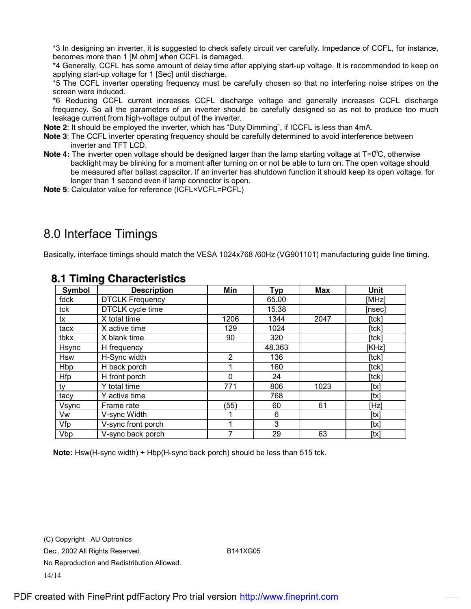\*3 In designing an inverter, it is suggested to check safety circuit ver carefully. Impedance of CCFL, for instance, becomes more than 1 [M ohm] when CCFL is damaged.

\*4 Generally, CCFL has some amount of delay time after applying start-up voltage. It is recommended to keep on applying start-up voltage for 1 [Sec] until discharge.

\*5 The CCFL inverter operating frequency must be carefully chosen so that no interfering noise stripes on the screen were induced.

\*6 Reducing CCFL current increases CCFL discharge voltage and generally increases CCFL discharge frequency. So all the parameters of an inverter should be carefully designed so as not to produce too much leakage current from high-voltage output of the inverter.

**Note 2**: It should be employed the inverter, which has "Duty Dimming", if ICCFL is less than 4mA.

- **Note 3**: The CCFL inverter operating frequency should be carefully determined to avoid interference between inverter and TFT LCD.
- Note 4: The inverter open voltage should be designed larger than the lamp starting voltage at T=0<sup>o</sup>C, otherwise backlight may be blinking for a moment after turning on or not be able to turn on. The open voltage should be measured after ballast capacitor. If an inverter has shutdown function it should keep its open voltage. for longer than 1 second even if lamp connector is open.
- **Note 5**: Calculator value for reference (ICFL×VCFL=PCFL)

## 8.0 Interface Timings

Basically, interface timings should match the VESA 1024x768 /60Hz (VG901101) manufacturing guide line timing.

| Symbol     | <b>Description</b>     | Min            | <b>Typ</b> | <b>Max</b> | Unit   |
|------------|------------------------|----------------|------------|------------|--------|
| fdck       | <b>DTCLK Frequency</b> |                | 65.00      |            | [MHz]  |
| tck        | DTCLK cycle time       |                | 15.38      |            | [nsec] |
| tx         | X total time           | 1206           | 1344       | 2047       | [tck]  |
| tacx       | X active time          | 129            | 1024       |            | [tck]  |
| tbkx       | X blank time           | 90             | 320        |            | [tck]  |
| Hsync      | H frequency            |                | 48.363     |            | [KHz]  |
| <b>Hsw</b> | H-Sync width           | $\overline{2}$ | 136        |            | [tck]  |
| Hbp        | H back porch           |                | 160        |            | [tck]  |
| Hfp        | H front porch          | $\Omega$       | 24         |            | [tck]  |
| ty         | Y total time           | 771            | 806        | 1023       | [tx]   |
| tacy       | Y active time          |                | 768        |            | [tx]   |
| Vsync      | Frame rate             | (55)           | 60         | 61         | [Hz]   |
| Vw         | V-sync Width           |                | 6          |            | [tx]   |
| Vfp        | V-sync front porch     |                | 3          |            | [tx]   |
| Vbp        | V-sync back porch      | 7              | 29         | 63         | [tx]   |

#### **8.1 Timing Characteristics**

**Note:** Hsw(H-sync width) + Hbp(H-sync back porch) should be less than 515 tck.

(C) Copyright AU Optronics Dec., 2002 All Rights Reserved. B141XG05 No Reproduction and Redistribution Allowed. 14/14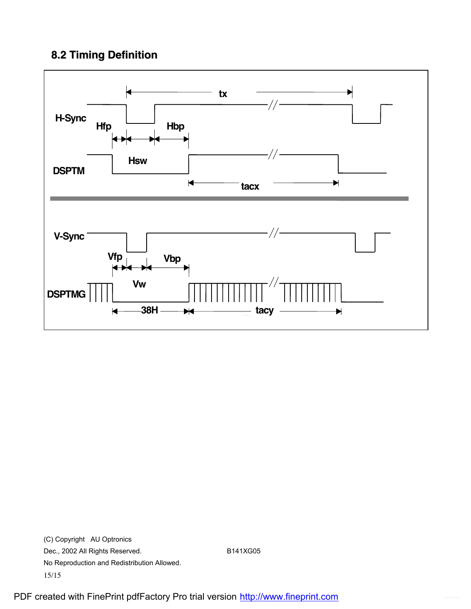## **8.2 Timing Definition**



(C) Copyright AU Optronics Dec., 2002 All Rights Reserved. B141XG05 No Reproduction and Redistribution Allowed. 15/15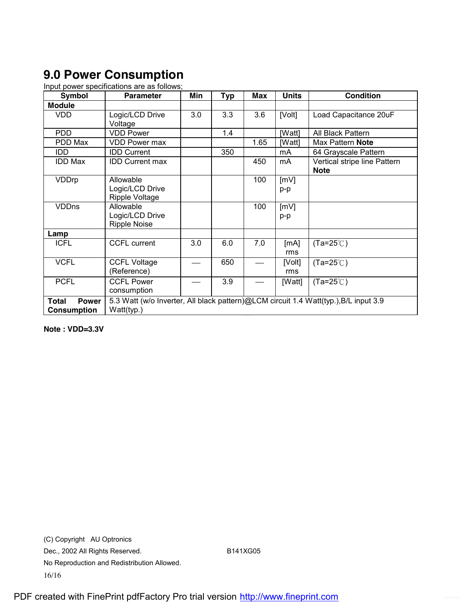# **9.0 Power Consumption**

Input power specifications are as follows;

| <b>Symbol</b>                                      | <b>Parameter</b>                                                                                   | Min | <b>Typ</b> | <b>Max</b> | <b>Units</b>  | <b>Condition</b>                            |  |  |
|----------------------------------------------------|----------------------------------------------------------------------------------------------------|-----|------------|------------|---------------|---------------------------------------------|--|--|
| <b>Module</b>                                      |                                                                                                    |     |            |            |               |                                             |  |  |
| <b>VDD</b>                                         | Logic/LCD Drive<br>Voltage                                                                         | 3.0 | 3.3        | 3.6        | [Volt]        | Load Capacitance 20uF                       |  |  |
| <b>PDD</b>                                         | <b>VDD Power</b>                                                                                   |     | 1.4        |            | [Watt]        | All Black Pattern                           |  |  |
| PDD Max                                            | VDD Power max                                                                                      |     |            | 1.65       | [Watt]        | Max Pattern <b>Note</b>                     |  |  |
| IDD                                                | <b>IDD Current</b>                                                                                 |     | 350        |            | mA            | 64 Grayscale Pattern                        |  |  |
| <b>IDD Max</b>                                     | <b>IDD Current max</b>                                                                             |     |            | 450        | mA            | Vertical stripe line Pattern<br><b>Note</b> |  |  |
| VDDrp                                              | Allowable<br>Logic/LCD Drive<br>Ripple Voltage                                                     |     |            | 100        | [mV]<br>p-p   |                                             |  |  |
| <b>VDDns</b>                                       | Allowable<br>Logic/LCD Drive<br><b>Ripple Noise</b>                                                |     |            | 100        | [mV]<br>p-p   |                                             |  |  |
| Lamp                                               |                                                                                                    |     |            |            |               |                                             |  |  |
| <b>ICFL</b>                                        | <b>CCFL current</b>                                                                                | 3.0 | 6.0        | 7.0        | [mA]<br>rms   | $(Ta=25^{\circ}C)$                          |  |  |
| <b>VCFL</b>                                        | <b>CCFL Voltage</b><br>(Reference)                                                                 |     | 650        |            | [Volt]<br>rms | $(Ta=25^{\circ}C)$                          |  |  |
| <b>PCFL</b>                                        | <b>CCFL Power</b><br>consumption                                                                   |     | 3.9        |            | [Watt]        | $(Ta=25^{\circ}C)$                          |  |  |
| <b>Power</b><br><b>Total</b><br><b>Consumption</b> | 5.3 Watt (w/o Inverter, All black pattern)@LCM circuit 1.4 Watt(typ.), B/L input 3.9<br>Watt(typ.) |     |            |            |               |                                             |  |  |

**Note : VDD=3.3V** 

(C) Copyright AU Optronics Dec., 2002 All Rights Reserved. B141XG05 No Reproduction and Redistribution Allowed. 16/16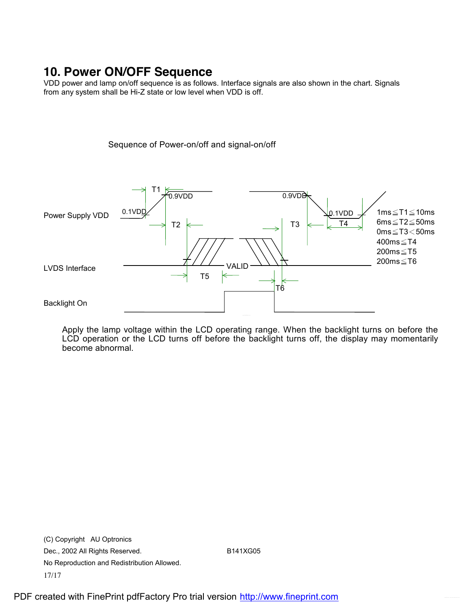## **10. Power ON/OFF Sequence**

VDD power and lamp on/off sequence is as follows. Interface signals are also shown in the chart. Signals from any system shall be Hi-Z state or low level when VDD is off.

Sequence of Power-on/off and signal-on/off



Apply the lamp voltage within the LCD operating range. When the backlight turns on before the LCD operation or the LCD turns off before the backlight turns off, the display may momentarily become abnormal.

(C) Copyright AU Optronics Dec., 2002 All Rights Reserved. B141XG05 No Reproduction and Redistribution Allowed. 17/17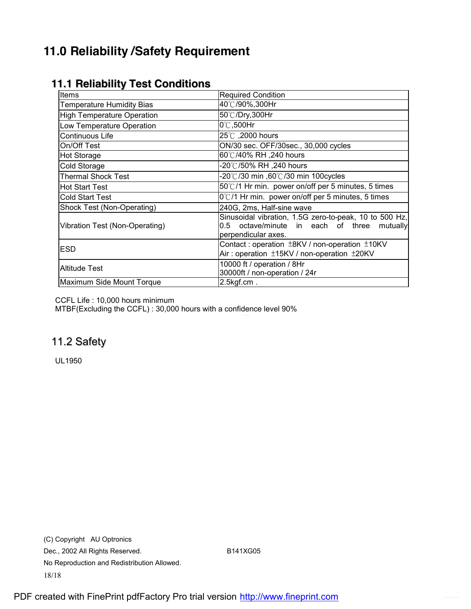## **11.0 Reliability /Safety Requirement**

| Items                             | <b>Required Condition</b>                                                                                                          |  |  |  |  |  |
|-----------------------------------|------------------------------------------------------------------------------------------------------------------------------------|--|--|--|--|--|
| <b>Temperature Humidity Bias</b>  | 40℃/90%,300Hr                                                                                                                      |  |  |  |  |  |
| <b>High Temperature Operation</b> | 50℃/Dry,300Hr                                                                                                                      |  |  |  |  |  |
| Low Temperature Operation         | 0°C,500Hr                                                                                                                          |  |  |  |  |  |
| Continuous Life                   | 25°C, 2000 hours                                                                                                                   |  |  |  |  |  |
| On/Off Test                       | ON/30 sec. OFF/30sec., 30,000 cycles                                                                                               |  |  |  |  |  |
| <b>Hot Storage</b>                | 60℃/40% RH ,240 hours                                                                                                              |  |  |  |  |  |
| Cold Storage                      | 20℃/50% RH ,240 hours                                                                                                              |  |  |  |  |  |
| <b>Thermal Shock Test</b>         | -20℃/30 min ,60℃/30 min 100cycles                                                                                                  |  |  |  |  |  |
| <b>Hot Start Test</b>             | 50°C/1 Hr min. power on/off per 5 minutes, 5 times                                                                                 |  |  |  |  |  |
| <b>Cold Start Test</b>            | 0°C/1 Hr min. power on/off per 5 minutes, 5 times                                                                                  |  |  |  |  |  |
| Shock Test (Non-Operating)        | 240G, 2ms, Half-sine wave                                                                                                          |  |  |  |  |  |
| Vibration Test (Non-Operating)    | Sinusoidal vibration, 1.5G zero-to-peak, 10 to 500 Hz,<br>octave/minute in each of three<br>mutually<br>0.5<br>perpendicular axes. |  |  |  |  |  |
| <b>ESD</b>                        | Contact: operation $\pm$ 8KV / non-operation $\pm$ 10KV<br>Air: operation ±15KV / non-operation ±20KV                              |  |  |  |  |  |
| <b>Altitude Test</b>              | 10000 ft / operation / 8Hr<br>30000ft / non-operation / 24r                                                                        |  |  |  |  |  |
| Maximum Side Mount Torque         | $2.5$ kgf.cm.                                                                                                                      |  |  |  |  |  |

### **11.1 Reliability Test Conditions**

CCFL Life : 10,000 hours minimum

MTBF(Excluding the CCFL) : 30,000 hours with a confidence level 90%

### 11.2 Safety

UL1950

(C) Copyright AU Optronics Dec., 2002 All Rights Reserved. B141XG05 No Reproduction and Redistribution Allowed. 18/18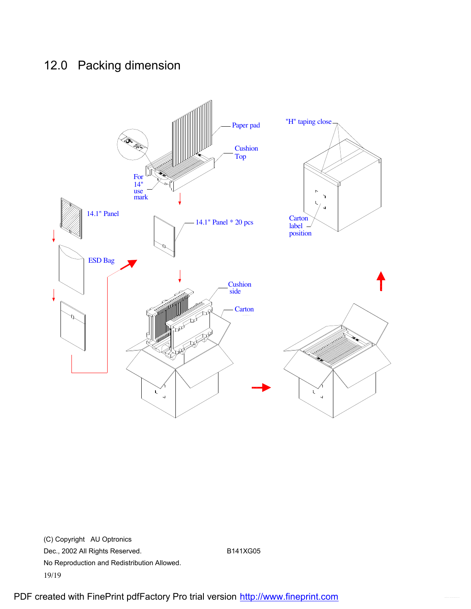## 12.0 Packing dimension



(C) Copyright AU Optronics Dec., 2002 All Rights Reserved. B141XG05 No Reproduction and Redistribution Allowed. 19/19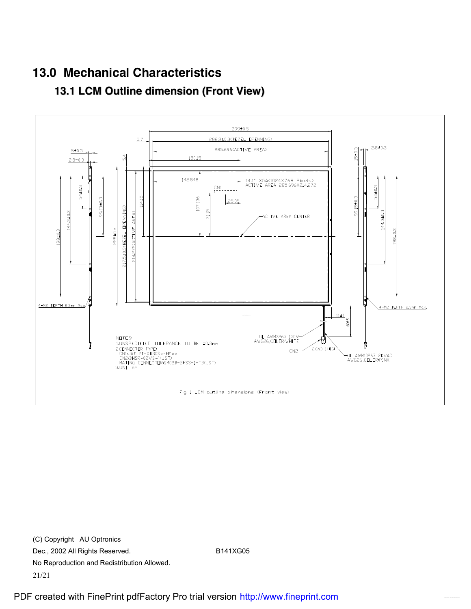# **13.0 Mechanical Characteristics**



## **13.1 LCM Outline dimension (Front View)**

(C) Copyright AU Optronics Dec., 2002 All Rights Reserved. B141XG05 No Reproduction and Redistribution Allowed. 21/21

Fig 1 LCM outline dimensions (Front view)

-UL AWM10267 2KVAC<br>AWG26,COLOR:PINK